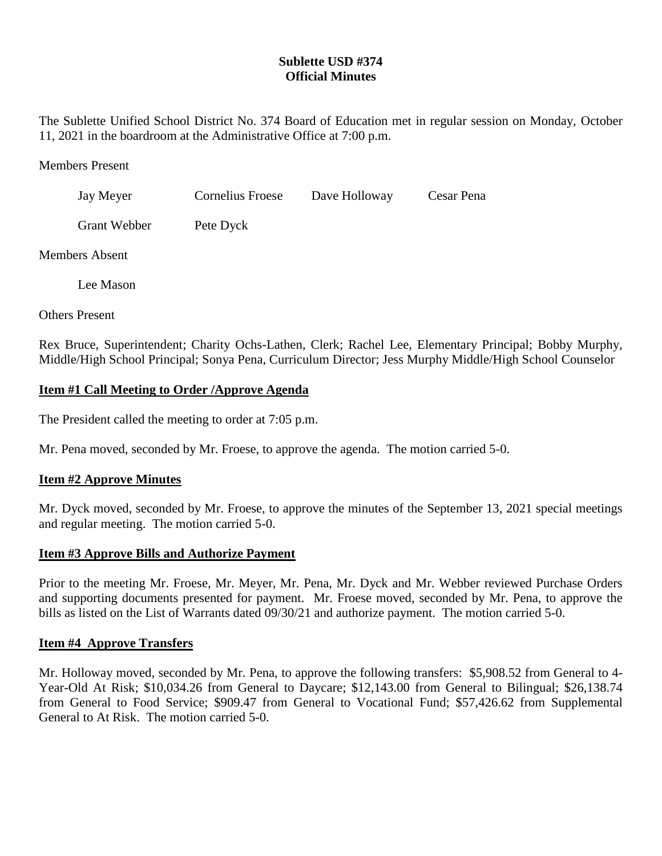# **Sublette USD #374 Official Minutes**

The Sublette Unified School District No. 374 Board of Education met in regular session on Monday, October 11, 2021 in the boardroom at the Administrative Office at 7:00 p.m.

Members Present

| Jay Meyer | Cornelius Froese | Dave Holloway | Cesar Pena |
|-----------|------------------|---------------|------------|
|           |                  |               |            |

Grant Webber Pete Dyck

Members Absent

Lee Mason

Others Present

Rex Bruce, Superintendent; Charity Ochs-Lathen, Clerk; Rachel Lee, Elementary Principal; Bobby Murphy, Middle/High School Principal; Sonya Pena, Curriculum Director; Jess Murphy Middle/High School Counselor

# **Item #1 Call Meeting to Order /Approve Agenda**

The President called the meeting to order at 7:05 p.m.

Mr. Pena moved, seconded by Mr. Froese, to approve the agenda. The motion carried 5-0.

### **Item #2 Approve Minutes**

Mr. Dyck moved, seconded by Mr. Froese, to approve the minutes of the September 13, 2021 special meetings and regular meeting. The motion carried 5-0.

# **Item #3 Approve Bills and Authorize Payment**

Prior to the meeting Mr. Froese, Mr. Meyer, Mr. Pena, Mr. Dyck and Mr. Webber reviewed Purchase Orders and supporting documents presented for payment. Mr. Froese moved, seconded by Mr. Pena, to approve the bills as listed on the List of Warrants dated 09/30/21 and authorize payment. The motion carried 5-0.

### **Item #4 Approve Transfers**

Mr. Holloway moved, seconded by Mr. Pena, to approve the following transfers: \$5,908.52 from General to 4- Year-Old At Risk; \$10,034.26 from General to Daycare; \$12,143.00 from General to Bilingual; \$26,138.74 from General to Food Service; \$909.47 from General to Vocational Fund; \$57,426.62 from Supplemental General to At Risk. The motion carried 5-0.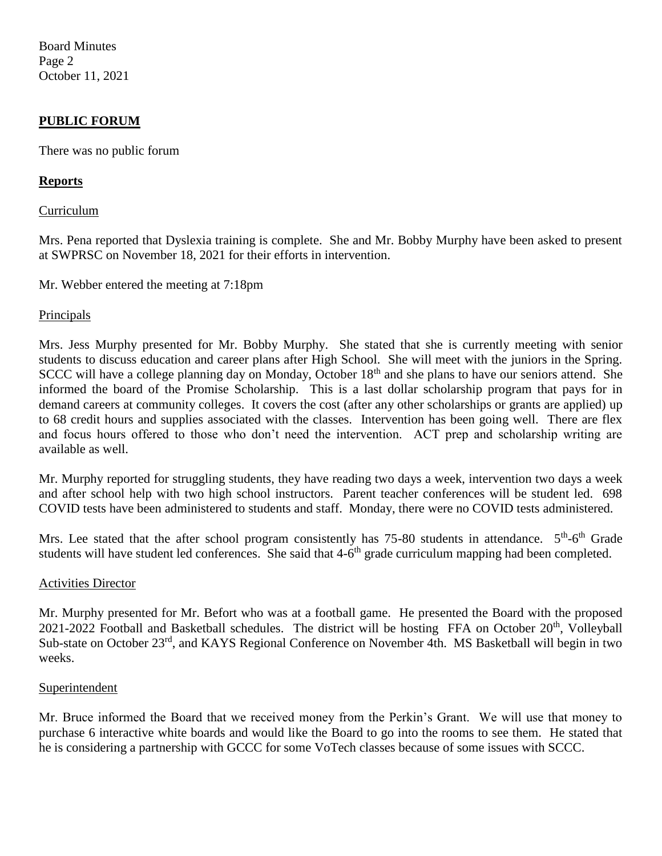Board Minutes Page 2 October 11, 2021

## **PUBLIC FORUM**

There was no public forum

### **Reports**

### Curriculum

Mrs. Pena reported that Dyslexia training is complete. She and Mr. Bobby Murphy have been asked to present at SWPRSC on November 18, 2021 for their efforts in intervention.

Mr. Webber entered the meeting at 7:18pm

### **Principals**

Mrs. Jess Murphy presented for Mr. Bobby Murphy. She stated that she is currently meeting with senior students to discuss education and career plans after High School. She will meet with the juniors in the Spring. SCCC will have a college planning day on Monday, October 18<sup>th</sup> and she plans to have our seniors attend. She informed the board of the Promise Scholarship. This is a last dollar scholarship program that pays for in demand careers at community colleges. It covers the cost (after any other scholarships or grants are applied) up to 68 credit hours and supplies associated with the classes. Intervention has been going well. There are flex and focus hours offered to those who don't need the intervention. ACT prep and scholarship writing are available as well.

Mr. Murphy reported for struggling students, they have reading two days a week, intervention two days a week and after school help with two high school instructors. Parent teacher conferences will be student led. 698 COVID tests have been administered to students and staff. Monday, there were no COVID tests administered.

Mrs. Lee stated that the after school program consistently has 75-80 students in attendance. 5<sup>th</sup>-6<sup>th</sup> Grade students will have student led conferences. She said that 4-6<sup>th</sup> grade curriculum mapping had been completed.

#### Activities Director

Mr. Murphy presented for Mr. Befort who was at a football game. He presented the Board with the proposed 2021-2022 Football and Basketball schedules. The district will be hosting FFA on October 20<sup>th</sup>, Volleyball Sub-state on October 23<sup>rd</sup>, and KAYS Regional Conference on November 4th. MS Basketball will begin in two weeks.

### **Superintendent**

Mr. Bruce informed the Board that we received money from the Perkin's Grant. We will use that money to purchase 6 interactive white boards and would like the Board to go into the rooms to see them. He stated that he is considering a partnership with GCCC for some VoTech classes because of some issues with SCCC.